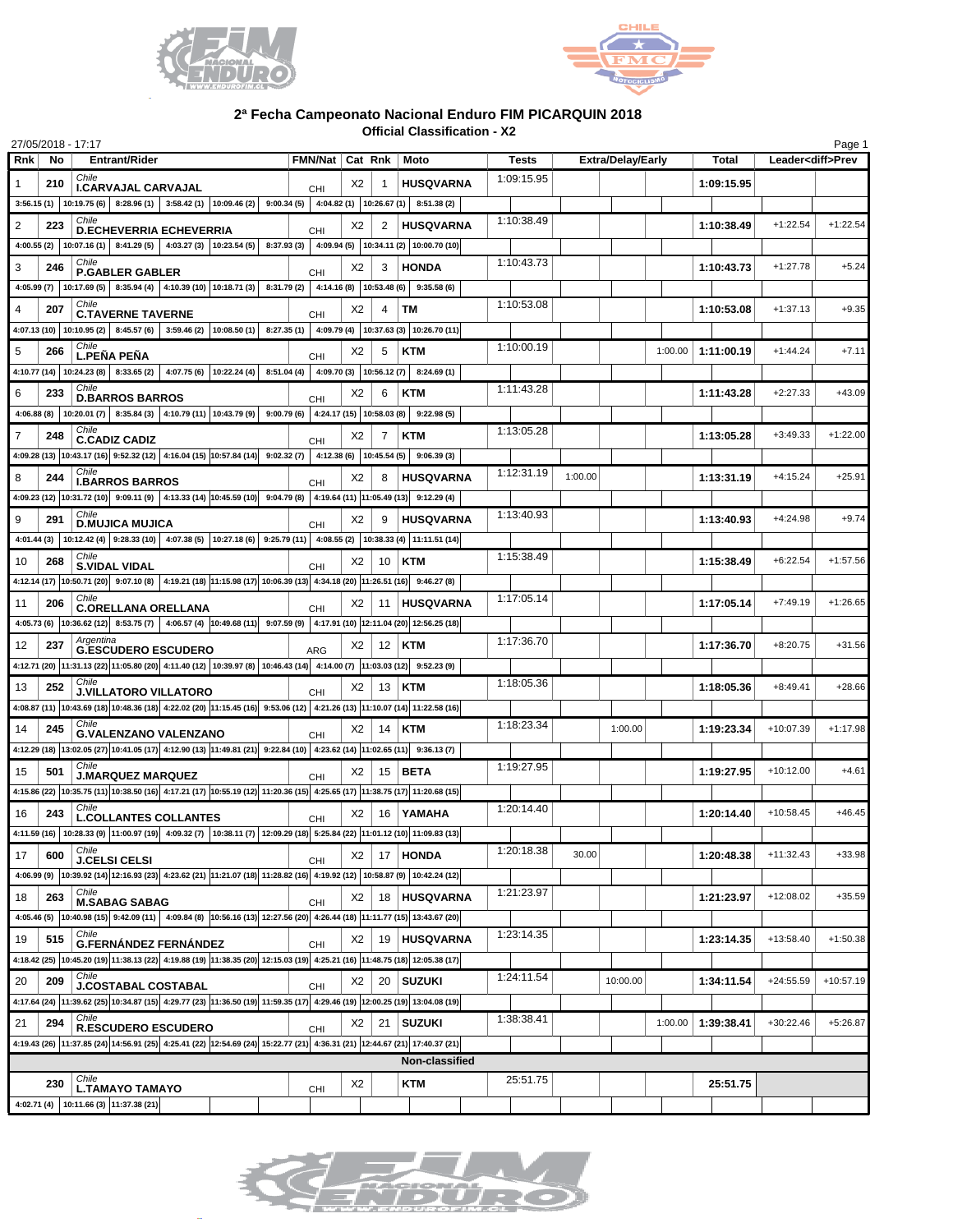



## **2ª Fecha Campeonato Nacional Enduro FIM PICARQUIN 2018**

**Official Classification - X2**

|                |     | 27/05/2018 - 17:17                                                                                                                               |                          |    |          |                                                    |            |         |                          |         |              |             | Page 1                   |
|----------------|-----|--------------------------------------------------------------------------------------------------------------------------------------------------|--------------------------|----|----------|----------------------------------------------------|------------|---------|--------------------------|---------|--------------|-------------|--------------------------|
| Rnk            | No  | <b>Entrant/Rider</b>                                                                                                                             | FMN/Nat   Cat Rnk   Moto |    |          |                                                    | Tests      |         | <b>Extra/Delay/Early</b> |         | <b>Total</b> |             | Leader <diff>Prev</diff> |
| 1              | 210 | Chile<br><b>I.CARVAJAL CARVAJAL</b>                                                                                                              | <b>CHI</b>               | X2 | -1       | <b>HUSQVARNA</b>                                   | 1:09:15.95 |         |                          |         | 1:09:15.95   |             |                          |
|                |     | $3:56.15$ (1) $10:19.75$ (6) $8:28.96$ (1) $3:58.42$ (1) $10:09.46$ (2) $9:00.34$ (5) $4:04.82$ (1) $10:26.67$ (1) $8:51.38$ (2)                 |                          |    |          |                                                    |            |         |                          |         |              |             |                          |
| 2              | 223 | Chile<br><b>D.ECHEVERRIA ECHEVERRIA</b>                                                                                                          | <b>CHI</b>               | X2 | 2        | <b>HUSQVARNA</b>                                   | 1:10:38.49 |         |                          |         | 1:10:38.49   | $+1:22.54$  | $+1:22.54$               |
|                |     | 4:00.55 (2) 10:07.16 (1) 8:41.29 (5) 4:03.27 (3) 10:23.54 (5) 8:37.93 (3) 4:09.94 (5) 10:34.11 (2) 10:00.70 (10)                                 |                          |    |          |                                                    |            |         |                          |         |              |             |                          |
| 3              | 246 | Chile<br><b>P.GABLER GABLER</b>                                                                                                                  |                          | X2 | 3        | <b>HONDA</b>                                       | 1:10:43.73 |         |                          |         | 1:10:43.73   | $+1:27.78$  | $+5.24$                  |
|                |     | 4:05.99 (7) $ 10:17.69(5) $ 8:35.94 (4) $ 4:10.39(10) 10:18.71(3) $ 8:31.79 (2) $ 4:14.16(8) 10:53.48(6) $ 9:35.58 (6)                           | <b>CHI</b>               |    |          |                                                    |            |         |                          |         |              |             |                          |
| 4              | 207 | Chile                                                                                                                                            |                          | X2 | 4        | <b>TM</b>                                          | 1:10:53.08 |         |                          |         | 1:10:53.08   | $+1:37.13$  | $+9.35$                  |
|                |     | <b>C.TAVERNE TAVERNE</b><br>4:07.13 (10)   10:10.95 (2)   8:45.57 (6)   3:59.46 (2)   10:08.50 (1)                                               | <b>CHI</b>               |    |          | 8:27.35 (1) 4:09.79 (4) 10:37.63 (3) 10:26.70 (11) |            |         |                          |         |              |             |                          |
|                |     | Chile                                                                                                                                            |                          |    |          |                                                    | 1:10:00.19 |         |                          |         |              |             |                          |
| 5              | 266 | <b>L.PENA PENA</b>                                                                                                                               | CHI                      | X2 | 5        | <b>KTM</b>                                         |            |         |                          | 1:00.00 | 1:11:00.19   | $+1:44.24$  | $+7.11$                  |
|                |     | 4:10.77 (14)   10:24.23 (8)   8:33.65 (2)   4:07.75 (6)   10:22.24 (4)  <br>Chile                                                                |                          |    |          | $8:51.04(4)$ 4:09.70 (3) 10:56.12 (7) 8:24.69 (1)  | 1:11:43.28 |         |                          |         |              |             |                          |
| 6              | 233 | <b>D.BARROS BARROS</b>                                                                                                                           | <b>CHI</b>               | X2 | 6        | <b>KTM</b>                                         |            |         |                          |         | 1:11:43.28   | $+2:27.33$  | $+43.09$                 |
|                |     | 8:35.84 (3) 4:10.79 (11) 10:43.79 (9) 9:00.79 (6) 4:24.17 (15) 10:58.03 (8)<br>4:06.88 (8)   10:20.01 (7)                                        |                          |    |          | 9:22.98(5)                                         |            |         |                          |         |              |             |                          |
| $\overline{7}$ | 248 | Chile<br><b>C.CADIZ CADIZ</b>                                                                                                                    | <b>CHI</b>               | X2 | 7        | KTM                                                | 1:13:05.28 |         |                          |         | 1:13:05.28   | $+3:49.33$  | $+1:22.00$               |
|                |     | $4:09.28$ (13) 10:43.17 (16) 9:52.32 (12) 4:16.04 (15) 10:57.84 (14) 9:02.32 (7) 4:12.38 (6) 10:45.54 (5) 9:06.39 (3)                            |                          |    |          |                                                    |            |         |                          |         |              |             |                          |
| 8              | 244 | Chile<br><b>I.BARROS BARROS</b>                                                                                                                  | <b>CHI</b>               | X2 | 8        | <b>HUSQVARNA</b>                                   | 1:12:31.19 | 1:00.00 |                          |         | 1:13:31.19   | $+4:15.24$  | $+25.91$                 |
|                |     | 4:09.23 (12) 10:31.72 (10) 9:09.11 (9) 4:13.33 (14) 10:45.59 (10) 9:04.79 (8) 4:19.64 (11) 11:05.49 (13) 9:12.29 (4)                             |                          |    |          |                                                    |            |         |                          |         |              |             |                          |
| 9              | 291 | Chile<br><b>D.MUJICA MUJICA</b>                                                                                                                  | <b>CHI</b>               | X2 | 9        | <b>HUSQVARNA</b>                                   | 1:13:40.93 |         |                          |         | 1:13:40.93   | $+4:24.98$  | $+9.74$                  |
|                |     | 4:01.44 (3)   10:12.42 (4)   9:28.33 (10)   4:07.38 (5)   10:27.18 (6)   9:25.79 (11)   4:08.55 (2)   10:38.33 (4)   11:11.51 (14)               |                          |    |          |                                                    |            |         |                          |         |              |             |                          |
| 10             | 268 | Chile                                                                                                                                            |                          | X2 | 10       | KTM                                                | 1:15:38.49 |         |                          |         | 1:15:38.49   | $+6:22.54$  | $+1:57.56$               |
|                |     | S.VIDAL VIDAL<br>4:12.14 (17) 10:50.71 (20) 9:07.10 (8) 4:19.21 (18) 11:15.98 (17) 10:06.39 (13) 4:34.18 (20) 11:26.51 (16) 9:46.27 (8)          | <b>CHI</b>               |    |          |                                                    |            |         |                          |         |              |             |                          |
| 11             | 206 | Chile                                                                                                                                            |                          | X2 | 11       | <b>HUSQVARNA</b>                                   | 1:17:05.14 |         |                          |         | 1:17:05.14   | $+7:49.19$  | $+1:26.65$               |
|                |     | <b>C.ORELLANA ORELLANA</b>                                                                                                                       | CHI                      |    |          |                                                    |            |         |                          |         |              |             |                          |
|                |     | 4:05.73 (6) $ 10:36.62 12 $ 8:53.75 (7) $ 4:06.57 4$ $ 10:49.68 11$ 9:07.59 (9) $ 4:17.91 10$ $ 12:11.04 20$ $ 12:56.25 18$<br>Argentina         |                          |    |          |                                                    | 1:17:36.70 |         |                          |         |              |             |                          |
| 12             | 237 | <b>G.ESCUDERO ESCUDERO</b>                                                                                                                       | <b>ARG</b>               | X2 | $12$ KTM |                                                    |            |         |                          |         | 1:17:36.70   | $+8:20.75$  | $+31.56$                 |
|                |     | 4:12.71 (20) 11:31.13 (22) 11:05.80 (20) 4:11.40 (12) 10:39.97 (8) 10:46.43 (14) 4:14.00 (7) 11:03.03 (12) 9:52.23 (9)                           |                          |    |          |                                                    |            |         |                          |         |              |             |                          |
| 13             | 252 | Chile<br><b>J.VILLATORO VILLATORO</b>                                                                                                            | <b>CHI</b>               | X2 | $13$ KTM |                                                    | 1:18:05.36 |         |                          |         | 1:18:05.36   | $+8:49.41$  | $+28.66$                 |
|                |     | 4:08.87 (11) 10:43.69 (18) 10:48.36 (18) 4:22.02 (20) 11:15.45 (16) 9:53.06 (12) 4:21.26 (13) 11:10.07 (14) 11:22.58 (16)                        |                          |    |          |                                                    |            |         |                          |         |              |             |                          |
| 14             | 245 | Chile<br><b>G.VALENZANO VALENZANO</b>                                                                                                            | <b>CHI</b>               | X2 | 14       | KTM                                                | 1:18:23.34 |         | 1:00.00                  |         | 1:19:23.34   | +10:07.39   | $+1:17.98$               |
|                |     | 4:12.29 (18) 13:02.05 (27) 10:41.05 (17) 4:12.90 (13) 11:49.81 (21) 9:22.84 (10) 4:23.62 (14) 11:02.65 (11) 9:36.13 (7)                          |                          |    |          |                                                    |            |         |                          |         |              |             |                          |
| 15             | 501 | Chile<br><b>J.MARQUEZ MARQUEZ</b>                                                                                                                | CHI                      | X2 |          | $15$ BETA                                          | 1:19:27.95 |         |                          |         | 1:19:27.95   | $+10:12.00$ | $+4.61$                  |
|                |     | 4:15.86 (22) 10:35.75 (11) 10:38.50 (16) 4:17.21 (17) 10:55.19 (12) 11:20.36 (15) 4:25.65 (17) 11:38.75 (17) 11:20.68 (15)                       |                          |    |          |                                                    |            |         |                          |         |              |             |                          |
| 16             | 243 | Chile<br><b>L.COLLANTES COLLANTES</b>                                                                                                            |                          | X2 |          | 16   YAMAHA                                        | 1:20:14.40 |         |                          |         | 1:20:14.40   | $+10:58.45$ | $+46.45$                 |
|                |     | 4:11.59 (16) 10:28.33 (9) 11:00.97 (19) 4:09.32 (7) 10:38.11 (7) 12:09.29 (18) 5:25.84 (22) 11:01.12 (10) 11:09.83 (13)                          | CHI                      |    |          |                                                    |            |         |                          |         |              |             |                          |
| 17             | 600 | Chile                                                                                                                                            |                          | X2 |          | 17   HONDA                                         | 1:20:18.38 | 30.00   |                          |         | 1:20:48.38   | $+11:32.43$ | $+33.98$                 |
|                |     | <b>J.CELSI CELSI</b><br>4.06.99 (9) 10:39.92 (14) 12:16.93 (23) 4:23.62 (21) 11:21.07 (18) 11:28.82 (16) 4:19.92 (12) 10:58.87 (9) 10:42.24 (12) | <b>CHI</b>               |    |          |                                                    |            |         |                          |         |              |             |                          |
|                |     | Chile                                                                                                                                            |                          |    |          | 18 HUSQVARNA                                       | 1:21:23.97 |         |                          |         | 1:21:23.97   | $+12:08.02$ | $+35.59$                 |
| 18             | 263 | <b>M.SABAG SABAG</b><br>4.05.46 (5) 10:40.98 (15) 9:42.09 (11) 4:09.84 (8) 10:56.16 (13) 12:27.56 (20) 4:26.44 (18) 11:11.77 (15) 13:43.67 (20)  | CHI                      | X2 |          |                                                    |            |         |                          |         |              |             |                          |
|                |     | Chile                                                                                                                                            |                          |    |          |                                                    | 1:23:14.35 |         |                          |         |              |             |                          |
| 19             | 515 | <b>G.FERNÁNDEZ FERNÁNDEZ</b>                                                                                                                     | CHI                      | X2 |          | 19 HUSQVARNA                                       |            |         |                          |         | 1:23:14.35   | $+13:58.40$ | $+1:50.38$               |
|                |     | 4:18.42 (25) 10:45.20 (19) 11:38.13 (22) 4:19.88 (19) 11:38.35 (20) 12:15.03 (19) 4:25.21 (16) 11:48.75 (18) 12:05.38 (17)                       |                          |    |          |                                                    |            |         |                          |         |              |             |                          |
| 20             | 209 | Chile<br><b>J.COSTABAL COSTABAL</b>                                                                                                              | CHI                      | X2 |          | 20   SUZUKI                                        | 1:24:11.54 |         | 10:00.00                 |         | 1:34:11.54   | $+24:55.59$ | $+10:57.19$              |
|                |     | 4:17.64 (24) 11:39.62 (25) 10:34.87 (15) 4:29.77 (23) 11:36.50 (19) 11:59.35 (17) 4:29.46 (19) 12:00.25 (19) 13:04.08 (19)                       |                          |    |          |                                                    |            |         |                          |         |              |             |                          |
| 21             | 294 | Chile<br><b>R.ESCUDERO ESCUDERO</b>                                                                                                              | CHI                      | X2 | 21       | <b>SUZUKI</b>                                      | 1:38:38.41 |         |                          | 1:00.00 | 1:39:38.41   | $+30:22.46$ | $+5:26.87$               |
|                |     | 4:19.43 (26) 11:37.85 (24) 14:56.91 (25) 4:25.41 (22) 12:54.69 (24) 15:22.77 (21) 4:36.31 (21) 12:44.67 (21) 17:40.37 (21)                       |                          |    |          |                                                    |            |         |                          |         |              |             |                          |
| Non-classified |     |                                                                                                                                                  |                          |    |          |                                                    |            |         |                          |         |              |             |                          |
|                | 230 | Chile<br><b>L.TAMAYO TAMAYO</b>                                                                                                                  | CHI                      | X2 |          | KTM                                                | 25:51.75   |         |                          |         | 25:51.75     |             |                          |
|                |     | 4:02.71 (4)   10:11.66 (3)   11:37.38 (21)                                                                                                       |                          |    |          |                                                    |            |         |                          |         |              |             |                          |